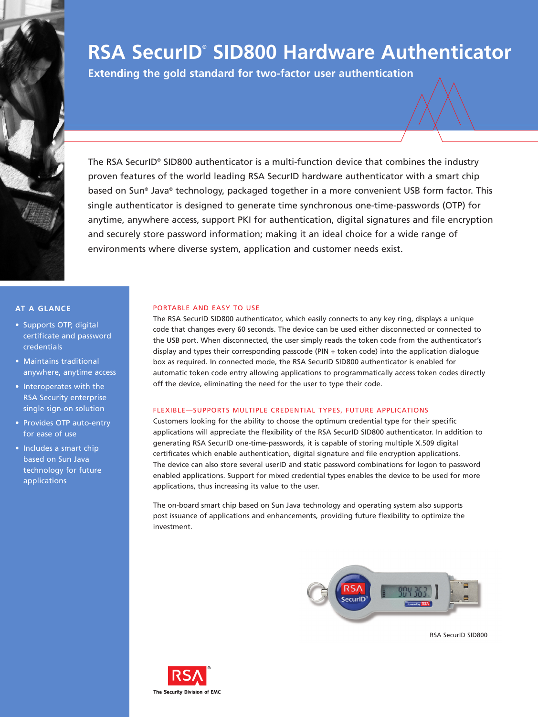

# **RSA SecurID® SID800 Hardware Authenticator**

**Extending the gold standard for two-factor user authentication** 

The RSA SecurID® SID800 authenticator is a multi-function device that combines the industry proven features of the world leading RSA SecurID hardware authenticator with a smart chip based on Sun® Java® technology, packaged together in a more convenient USB form factor. This single authenticator is designed to generate time synchronous one-time-passwords (OTP) for anytime, anywhere access, support PKI for authentication, digital signatures and file encryption and securely store password information; making it an ideal choice for a wide range of environments where diverse system, application and customer needs exist.

## **AT A GLANCE**

- Supports OTP, digital certificate and password credentials
- Maintains traditional anywhere, anytime access
- Interoperates with the RSA Security enterprise single sign-on solution
- Provides OTP auto-entry for ease of use
- Includes a smart chip based on Sun Java technology for future applications

## PORTABLE AND EASY TO USE

The RSA SecurID SID800 authenticator, which easily connects to any key ring, displays a unique code that changes every 60 seconds. The device can be used either disconnected or connected to the USB port. When disconnected, the user simply reads the token code from the authenticator's display and types their corresponding passcode (PIN + token code) into the application dialogue box as required. In connected mode, the RSA SecurID SID800 authenticator is enabled for automatic token code entry allowing applications to programmatically access token codes directly off the device, eliminating the need for the user to type their code.

### FLEXIBLE—SUPPORTS MULTIPLE CREDENTIAL TYPES, FUTURE APPLICATIONS

Customers looking for the ability to choose the optimum credential type for their specific applications will appreciate the flexibility of the RSA SecurID SID800 authenticator. In addition to generating RSA SecurID one-time-passwords, it is capable of storing multiple X.509 digital certificates which enable authentication, digital signature and file encryption applications. The device can also store several userID and static password combinations for logon to password enabled applications. Support for mixed credential types enables the device to be used for more applications, thus increasing its value to the user.

The on-board smart chip based on Sun Java technology and operating system also supports post issuance of applications and enhancements, providing future flexibility to optimize the investment.